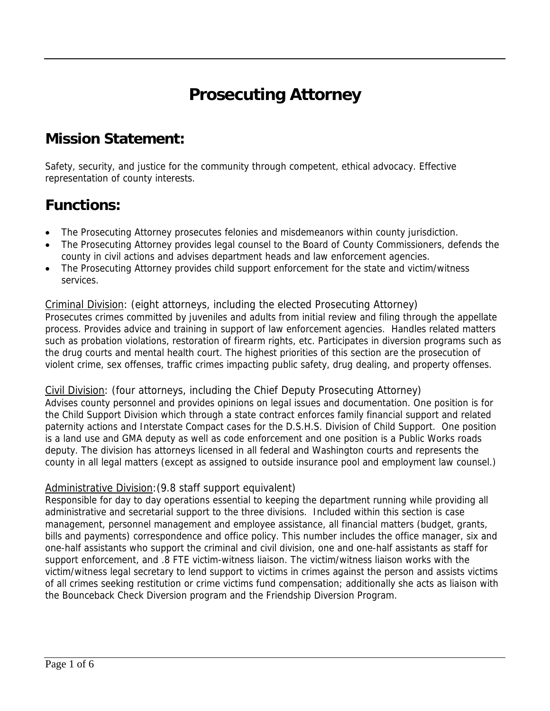# **Prosecuting Attorney**

### **Mission Statement:**

Safety, security, and justice for the community through competent, ethical advocacy. Effective representation of county interests.

### **Functions:**

- The Prosecuting Attorney prosecutes felonies and misdemeanors within county jurisdiction.
- The Prosecuting Attorney provides legal counsel to the Board of County Commissioners, defends the county in civil actions and advises department heads and law enforcement agencies.
- The Prosecuting Attorney provides child support enforcement for the state and victim/witness services.

#### Criminal Division: (eight attorneys, including the elected Prosecuting Attorney) Prosecutes crimes committed by juveniles and adults from initial review and filing through the appellate process. Provides advice and training in support of law enforcement agencies. Handles related matters such as probation violations, restoration of firearm rights, etc. Participates in diversion programs such as the drug courts and mental health court. The highest priorities of this section are the prosecution of violent crime, sex offenses, traffic crimes impacting public safety, drug dealing, and property offenses.

#### Civil Division: (four attorneys, including the Chief Deputy Prosecuting Attorney)

Advises county personnel and provides opinions on legal issues and documentation. One position is for the Child Support Division which through a state contract enforces family financial support and related paternity actions and Interstate Compact cases for the D.S.H.S. Division of Child Support. One position is a land use and GMA deputy as well as code enforcement and one position is a Public Works roads deputy. The division has attorneys licensed in all federal and Washington courts and represents the county in all legal matters (except as assigned to outside insurance pool and employment law counsel.)

#### Administrative Division: (9.8 staff support equivalent)

Responsible for day to day operations essential to keeping the department running while providing all administrative and secretarial support to the three divisions. Included within this section is case management, personnel management and employee assistance, all financial matters (budget, grants, bills and payments) correspondence and office policy. This number includes the office manager, six and one-half assistants who support the criminal and civil division, one and one-half assistants as staff for support enforcement, and .8 FTE victim-witness liaison. The victim/witness liaison works with the victim/witness legal secretary to lend support to victims in crimes against the person and assists victims of all crimes seeking restitution or crime victims fund compensation; additionally she acts as liaison with the Bounceback Check Diversion program and the Friendship Diversion Program.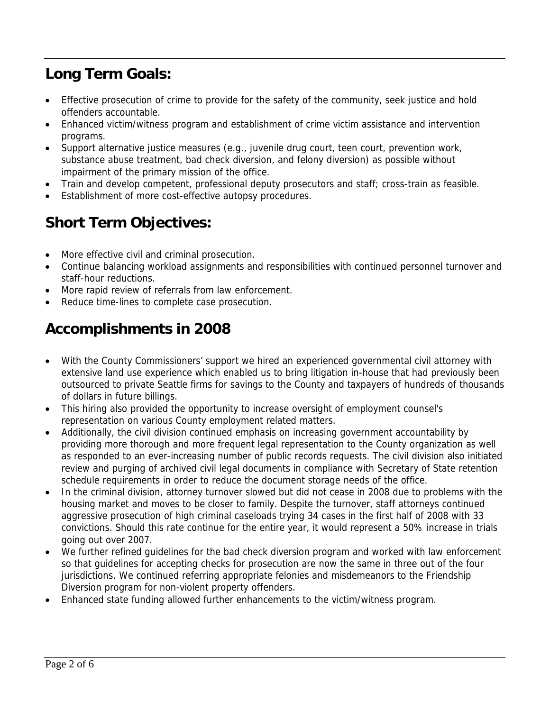# **Long Term Goals:**

- Effective prosecution of crime to provide for the safety of the community, seek justice and hold offenders accountable.
- Enhanced victim/witness program and establishment of crime victim assistance and intervention programs.
- Support alternative justice measures (e.g., juvenile drug court, teen court, prevention work, substance abuse treatment, bad check diversion, and felony diversion) as possible without impairment of the primary mission of the office.
- Train and develop competent, professional deputy prosecutors and staff; cross-train as feasible.
- Establishment of more cost-effective autopsy procedures.

# **Short Term Objectives:**

- More effective civil and criminal prosecution.
- Continue balancing workload assignments and responsibilities with continued personnel turnover and staff-hour reductions.
- More rapid review of referrals from law enforcement.
- Reduce time-lines to complete case prosecution.

# **Accomplishments in 2008**

- With the County Commissioners' support we hired an experienced governmental civil attorney with extensive land use experience which enabled us to bring litigation in-house that had previously been outsourced to private Seattle firms for savings to the County and taxpayers of hundreds of thousands of dollars in future billings.
- This hiring also provided the opportunity to increase oversight of employment counsel's representation on various County employment related matters.
- Additionally, the civil division continued emphasis on increasing government accountability by providing more thorough and more frequent legal representation to the County organization as well as responded to an ever-increasing number of public records requests. The civil division also initiated review and purging of archived civil legal documents in compliance with Secretary of State retention schedule requirements in order to reduce the document storage needs of the office.
- In the criminal division, attorney turnover slowed but did not cease in 2008 due to problems with the housing market and moves to be closer to family. Despite the turnover, staff attorneys continued aggressive prosecution of high criminal caseloads trying 34 cases in the first half of 2008 with 33 convictions. Should this rate continue for the entire year, it would represent a 50% increase in trials going out over 2007.
- We further refined guidelines for the bad check diversion program and worked with law enforcement so that guidelines for accepting checks for prosecution are now the same in three out of the four jurisdictions. We continued referring appropriate felonies and misdemeanors to the Friendship Diversion program for non-violent property offenders.
- Enhanced state funding allowed further enhancements to the victim/witness program.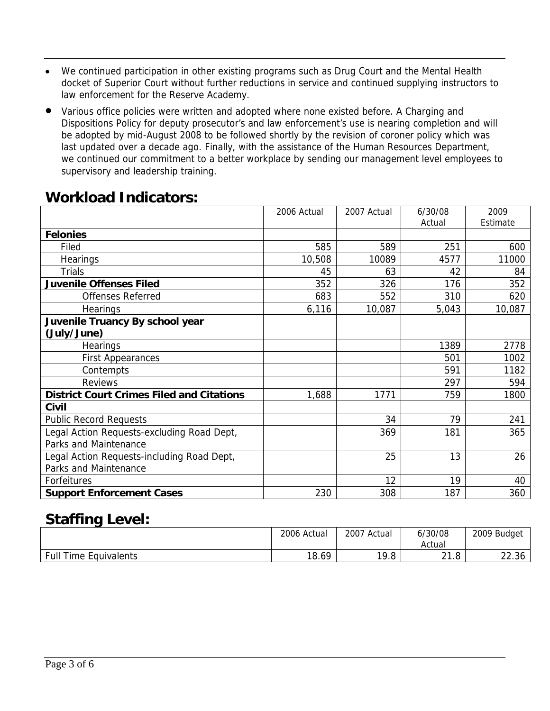- We continued participation in other existing programs such as Drug Court and the Mental Health docket of Superior Court without further reductions in service and continued supplying instructors to law enforcement for the Reserve Academy.
- Various office policies were written and adopted where none existed before. A Charging and Dispositions Policy for deputy prosecutor's and law enforcement's use is nearing completion and will be adopted by mid-August 2008 to be followed shortly by the revision of coroner policy which was last updated over a decade ago. Finally, with the assistance of the Human Resources Department, we continued our commitment to a better workplace by sending our management level employees to supervisory and leadership training.

### **Workload Indicators:**

|                                                  | 2006 Actual | 2007 Actual | 6/30/08 | 2009     |
|--------------------------------------------------|-------------|-------------|---------|----------|
|                                                  |             |             | Actual  | Estimate |
| <b>Felonies</b>                                  |             |             |         |          |
| Filed                                            | 585         | 589         | 251     | 600      |
| <b>Hearings</b>                                  | 10,508      | 10089       | 4577    | 11000    |
| <b>Trials</b>                                    | 45          | 63          | 42      | 84       |
| <b>Juvenile Offenses Filed</b>                   | 352         | 326         | 176     | 352      |
| <b>Offenses Referred</b>                         | 683         | 552         | 310     | 620      |
| <b>Hearings</b>                                  | 6,116       | 10,087      | 5,043   | 10,087   |
| Juvenile Truancy By school year                  |             |             |         |          |
| (July/June)                                      |             |             |         |          |
| <b>Hearings</b>                                  |             |             | 1389    | 2778     |
| <b>First Appearances</b>                         |             |             | 501     | 1002     |
| Contempts                                        |             |             | 591     | 1182     |
| <b>Reviews</b>                                   |             |             | 297     | 594      |
| <b>District Court Crimes Filed and Citations</b> | 1,688       | 1771        | 759     | 1800     |
| <b>Civil</b>                                     |             |             |         |          |
| <b>Public Record Requests</b>                    |             | 34          | 79      | 241      |
| Legal Action Requests-excluding Road Dept,       |             | 369         | 181     | 365      |
| <b>Parks and Maintenance</b>                     |             |             |         |          |
| Legal Action Requests-including Road Dept,       |             | 25          | 13      | 26       |
| Parks and Maintenance                            |             |             |         |          |
| Forfeitures                                      |             | 12          | 19      | 40       |
| <b>Support Enforcement Cases</b>                 | 230         | 308         | 187     | 360      |

### **Staffing Level:**

|                             | 2006 Actual | 2007 Actual | 6/30/08<br>Actual      | 2009 Budget               |
|-----------------------------|-------------|-------------|------------------------|---------------------------|
| Full<br>Time<br>Equivalents | 18.69       | 19 R<br>ס.ל | ິີ<br>$\Omega$<br>21.U | $\cap$<br>$\sim$<br>22.30 |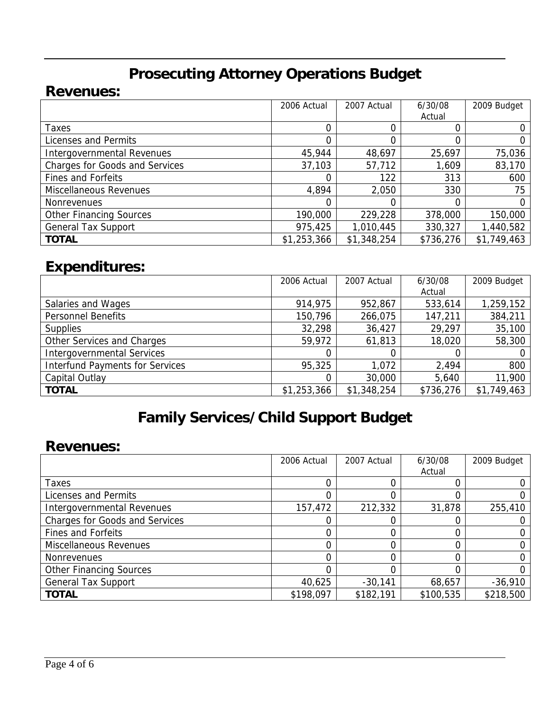# **Prosecuting Attorney Operations Budget**

#### **Revenues:**

|                                       | 2006 Actual | 2007 Actual | 6/30/08   | 2009 Budget |
|---------------------------------------|-------------|-------------|-----------|-------------|
|                                       |             |             | Actual    |             |
| Taxes                                 | 0           |             |           |             |
| Licenses and Permits                  |             |             |           |             |
| Intergovernmental Revenues            | 45,944      | 48,697      | 25,697    | 75,036      |
| <b>Charges for Goods and Services</b> | 37,103      | 57,712      | 1,609     | 83,170      |
| <b>Fines and Forfeits</b>             |             | 122         | 313       | 600         |
| Miscellaneous Revenues                | 4,894       | 2,050       | 330       | 75          |
| <b>Nonrevenues</b>                    |             | 0           |           |             |
| <b>Other Financing Sources</b>        | 190,000     | 229,228     | 378,000   | 150,000     |
| <b>General Tax Support</b>            | 975,425     | 1,010,445   | 330,327   | 1,440,582   |
| <b>TOTAL</b>                          | \$1,253,366 | \$1,348,254 | \$736,276 | \$1,749,463 |

### **Expenditures:**

|                                        | 2006 Actual | 2007 Actual | 6/30/08   | 2009 Budget |
|----------------------------------------|-------------|-------------|-----------|-------------|
|                                        |             |             | Actual    |             |
| Salaries and Wages                     | 914,975     | 952,867     | 533,614   | 1,259,152   |
| <b>Personnel Benefits</b>              | 150,796     | 266,075     | 147,211   | 384,211     |
| <b>Supplies</b>                        | 32,298      | 36,427      | 29,297    | 35,100      |
| Other Services and Charges             | 59,972      | 61,813      | 18,020    | 58,300      |
| <b>Intergovernmental Services</b>      |             |             |           | 0           |
| <b>Interfund Payments for Services</b> | 95,325      | 1,072       | 2,494     | 800         |
| Capital Outlay                         | 0           | 30,000      | 5,640     | 11,900      |
| <b>TOTAL</b>                           | \$1,253,366 | \$1,348,254 | \$736,276 | \$1,749,463 |

# **Family Services/Child Support Budget**

#### **Revenues:**

|                                       | 2006 Actual | 2007 Actual | 6/30/08   | 2009 Budget |
|---------------------------------------|-------------|-------------|-----------|-------------|
|                                       |             |             | Actual    |             |
| Taxes                                 |             |             |           |             |
| Licenses and Permits                  |             |             |           |             |
| Intergovernmental Revenues            | 157,472     | 212,332     | 31,878    | 255,410     |
| <b>Charges for Goods and Services</b> |             |             |           |             |
| <b>Fines and Forfeits</b>             |             |             |           |             |
| <b>Miscellaneous Revenues</b>         |             |             |           |             |
| <b>Nonrevenues</b>                    |             |             |           |             |
| <b>Other Financing Sources</b>        |             |             |           |             |
| <b>General Tax Support</b>            | 40,625      | $-30,141$   | 68,657    | $-36,910$   |
| <b>TOTAL</b>                          | \$198,097   | \$182,191   | \$100,535 | \$218,500   |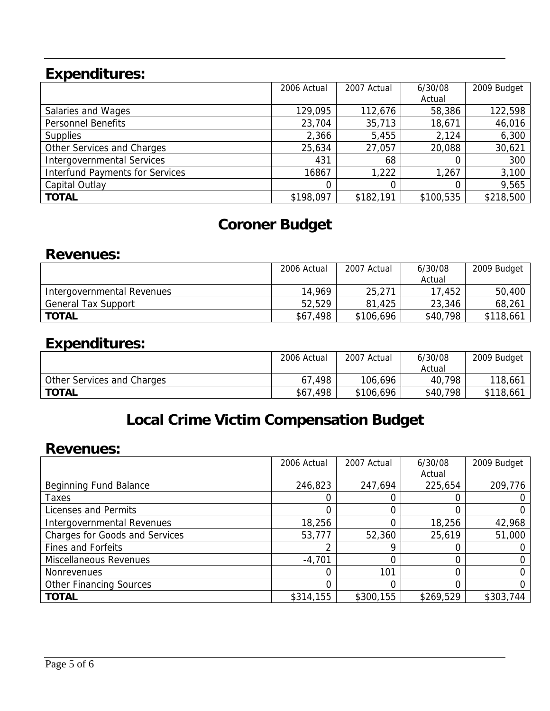# **Expenditures:**

|                                        | 2006 Actual | 2007 Actual | 6/30/08   | 2009 Budget |
|----------------------------------------|-------------|-------------|-----------|-------------|
|                                        |             |             | Actual    |             |
| Salaries and Wages                     | 129,095     | 112,676     | 58,386    | 122,598     |
| <b>Personnel Benefits</b>              | 23,704      | 35,713      | 18,671    | 46,016      |
| <b>Supplies</b>                        | 2,366       | 5,455       | 2,124     | 6,300       |
| Other Services and Charges             | 25,634      | 27,057      | 20,088    | 30,621      |
| <b>Intergovernmental Services</b>      | 431         | 68          |           | 300         |
| <b>Interfund Payments for Services</b> | 16867       | 1,222       | 1,267     | 3,100       |
| Capital Outlay                         |             |             |           | 9,565       |
| <b>TOTAL</b>                           | \$198,097   | \$182,191   | \$100,535 | \$218,500   |

## **Coroner Budget**

#### **Revenues:**

|                            | 2006 Actual | 2007 Actual | 6/30/08  | 2009 Budget |
|----------------------------|-------------|-------------|----------|-------------|
|                            |             |             | Actual   |             |
| Intergovernmental Revenues | 14,969      | 25,271      | 17,452   | 50,400      |
| <b>General Tax Support</b> | 52,529      | 81,425      | 23,346   | 68,261      |
| <b>TOTAL</b>               | \$67,498    | \$106,696   | \$40,798 | \$118,661   |
|                            |             |             |          |             |

### **Expenditures:**

|                            | 2006 Actual | 2007 Actual | 6/30/08  | 2009 Budget |
|----------------------------|-------------|-------------|----------|-------------|
|                            |             |             | Actual   |             |
| Other Services and Charges | 67,498      | 106,696     | 40,798   | 118,661     |
| <b>TOTAL</b>               | \$67,498    | \$106,696   | \$40,798 | \$118,661   |

# **Local Crime Victim Compensation Budget**

#### **Revenues:**

|                                       | 2006 Actual | 2007 Actual | 6/30/08   | 2009 Budget |
|---------------------------------------|-------------|-------------|-----------|-------------|
|                                       |             |             | Actual    |             |
| Beginning Fund Balance                | 246,823     | 247,694     | 225,654   | 209,776     |
| Taxes                                 |             | 0           |           |             |
| Licenses and Permits                  |             | 0           |           |             |
| <b>Intergovernmental Revenues</b>     | 18,256      | 0           | 18,256    | 42,968      |
| <b>Charges for Goods and Services</b> | 53,777      | 52,360      | 25,619    | 51,000      |
| Fines and Forfeits                    |             | o           |           |             |
| Miscellaneous Revenues                | $-4,701$    |             |           |             |
| <b>Nonrevenues</b>                    |             | 101         |           |             |
| <b>Other Financing Sources</b>        |             |             |           |             |
| <b>TOTAL</b>                          | \$314,155   | \$300,155   | \$269,529 | \$303,744   |